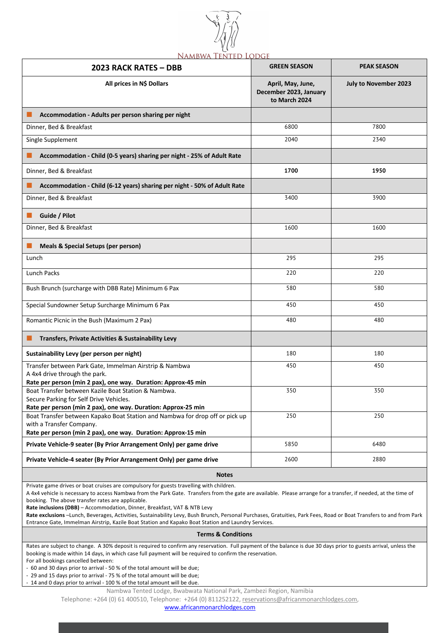

| 2023 RACK RATES - DBB                                                                                                                                                     | <b>GREEN SEASON</b>                                          | <b>PEAK SEASON</b>    |  |
|---------------------------------------------------------------------------------------------------------------------------------------------------------------------------|--------------------------------------------------------------|-----------------------|--|
| All prices in N\$ Dollars                                                                                                                                                 | April, May, June,<br>December 2023, January<br>to March 2024 | July to November 2023 |  |
| Accommodation - Adults per person sharing per night                                                                                                                       |                                                              |                       |  |
| Dinner, Bed & Breakfast                                                                                                                                                   | 6800                                                         | 7800                  |  |
| Single Supplement                                                                                                                                                         | 2040                                                         | 2340                  |  |
| Accommodation - Child (0-5 years) sharing per night - 25% of Adult Rate                                                                                                   |                                                              |                       |  |
| Dinner, Bed & Breakfast                                                                                                                                                   | 1700                                                         | 1950                  |  |
| Accommodation - Child (6-12 years) sharing per night - 50% of Adult Rate                                                                                                  |                                                              |                       |  |
| Dinner, Bed & Breakfast                                                                                                                                                   | 3400                                                         | 3900                  |  |
| Guide / Pilot                                                                                                                                                             |                                                              |                       |  |
| Dinner, Bed & Breakfast                                                                                                                                                   | 1600                                                         | 1600                  |  |
| Meals & Special Setups (per person)                                                                                                                                       |                                                              |                       |  |
| Lunch                                                                                                                                                                     | 295                                                          | 295                   |  |
| Lunch Packs                                                                                                                                                               | 220                                                          | 220                   |  |
| Bush Brunch (surcharge with DBB Rate) Minimum 6 Pax                                                                                                                       | 580                                                          | 580                   |  |
| Special Sundowner Setup Surcharge Minimum 6 Pax                                                                                                                           | 450                                                          | 450                   |  |
| Romantic Picnic in the Bush (Maximum 2 Pax)                                                                                                                               | 480                                                          | 480                   |  |
| Transfers, Private Activities & Sustainability Levy                                                                                                                       |                                                              |                       |  |
| Sustainability Levy (per person per night)                                                                                                                                | 180                                                          | 180                   |  |
| Transfer between Park Gate, Immelman Airstrip & Nambwa<br>A 4x4 drive through the park.<br>Rate per person (min 2 pax), one way. Duration: Approx-45 min                  | 450                                                          | 450                   |  |
| Boat Transfer between Kazile Boat Station & Nambwa.<br>Secure Parking for Self Drive Vehicles.<br>Rate per person (min 2 pax), one way. Duration: Approx-25 min           | 350                                                          | 350                   |  |
| Boat Transfer between Kapako Boat Station and Nambwa for drop off or pick up<br>with a Transfer Company.<br>Rate per person (min 2 pax), one way. Duration: Approx-15 min | 250                                                          | 250                   |  |
| Private Vehicle-9 seater (By Prior Arrangement Only) per game drive                                                                                                       | 5850                                                         | 6480                  |  |
| Private Vehicle-4 seater (By Prior Arrangement Only) per game drive                                                                                                       | 2600                                                         | 2880                  |  |
| <b>Notes</b>                                                                                                                                                              |                                                              |                       |  |

Private game drives or boat cruises are compulsory for guests travelling with children.

A 4x4 vehicle is necessary to access Nambwa from the Park Gate. Transfers from the gate are available. Please arrange for a transfer, if needed, at the time of booking. The above transfer rates are applicable.

**Rate inclusions (DBB)** – Accommodation, Dinner, Breakfast, VAT & NTB Levy

**Rate exclusions** –Lunch, Beverages, Activities, Sustainability Levy, Bush Brunch, Personal Purchases, Gratuities, Park Fees, Road or Boat Transfers to and from Park Entrance Gate, Immelman Airstrip, Kazile Boat Station and Kapako Boat Station and Laundry Services.

## **Terms & Conditions**

Rates are subject to change. A 30% deposit is required to confirm any reservation. Full payment of the balance is due 30 days prior to guests arrival, unless the booking is made within 14 days, in which case full payment will be required to confirm the reservation.

For all bookings cancelled between:

- 60 and 30 days prior to arrival - 50 % of the total amount will be due;

- 29 and 15 days prior to arrival - 75 % of the total amount will be due;

- 14 and 0 days prior to arrival - 100 % of the total amount will be due.

Nambwa Tented Lodge, Bwabwata National Park, Zambezi Region, Namibia

Telephone: +264 (0) 61 400510, Telephone: +264 (0) 811252122, reservations@africanmonarchlodges.com,

www.africanmonarchlodges.com